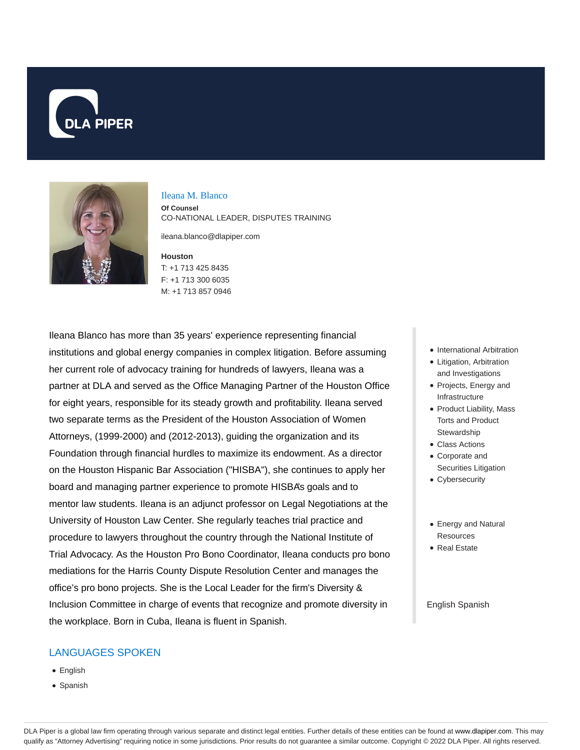



#### Ileana M. Blanco

**Of Counsel** CO-NATIONAL LEADER, DISPUTES TRAINING

ileana.blanco@dlapiper.com

**Houston** T: +1 713 425 8435 F: +1 713 300 6035 M: +1 713 857 0946

Ileana Blanco has more than 35 years' experience representing financial institutions and global energy companies in complex litigation. Before assuming her current role of advocacy training for hundreds of lawyers, Ileana was a partner at DLA and served as the Office Managing Partner of the Houston Office for eight years, responsible for its steady growth and profitability. Ileana served two separate terms as the President of the Houston Association of Women Attorneys, (1999-2000) and (2012-2013), guiding the organization and its Foundation through financial hurdles to maximize its endowment. As a director on the Houston Hispanic Bar Association ("HISBA"), she continues to apply her board and managing partner experience to promote HISBA's goals and to mentor law students. Ileana is an adjunct professor on Legal Negotiations at the University of Houston Law Center. She regularly teaches trial practice and procedure to lawyers throughout the country through the National Institute of Trial Advocacy. As the Houston Pro Bono Coordinator, Ileana conducts pro bono mediations for the Harris County Dispute Resolution Center and manages the office's pro bono projects. She is the Local Leader for the firm's Diversity & Inclusion Committee in charge of events that recognize and promote diversity in the workplace. Born in Cuba, Ileana is fluent in Spanish.

### LANGUAGES SPOKEN

- English
- Spanish
- International Arbitration
- Litigation, Arbitration and Investigations
- Projects, Energy and Infrastructure
- Product Liability, Mass Torts and Product **Stewardship**
- Class Actions
- Corporate and Securities Litigation
- Cybersecurity
- Energy and Natural **Resources**
- Real Estate

#### English Spanish

DLA Piper is a global law firm operating through various separate and distinct legal entities. Further details of these entities can be found at www.dlapiper.com. This may qualify as "Attorney Advertising" requiring notice in some jurisdictions. Prior results do not guarantee a similar outcome. Copyright © 2022 DLA Piper. All rights reserved.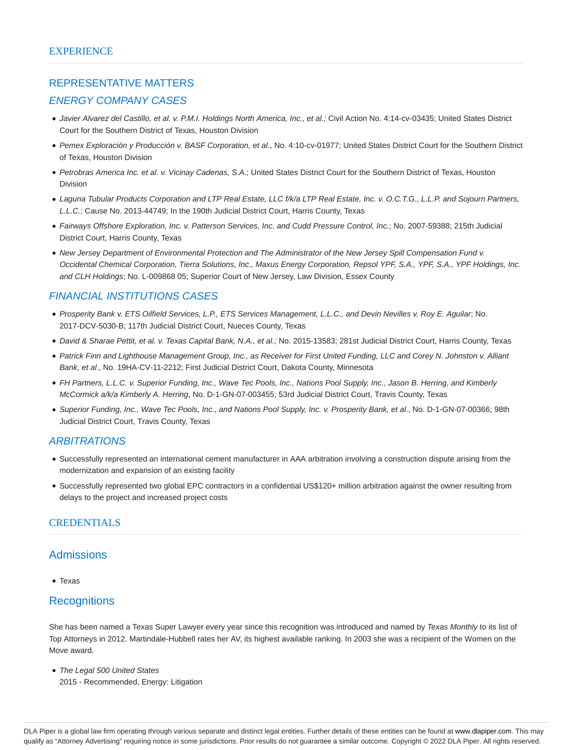### REPRESENTATIVE MATTERS

#### ENERGY COMPANY CASES

- Javier Alvarez del Castillo, et al. v. P.M.I. Holdings North America, Inc., et al.; Civil Action No. 4:14-cv-03435; United States District Court for the Southern District of Texas, Houston Division
- Pemex Exploración y Producción v. BASF Corporation, et al., No. 4:10-cv-01977; United States District Court for the Southern District of Texas, Houston Division
- Petrobras America Inc. et al. v. Vicinay Cadenas, S.A.; United States District Court for the Southern District of Texas, Houston Division
- Laguna Tubular Products Corporation and LTP Real Estate, LLC f/k/a LTP Real Estate, Inc. v. O.C.T.G., L.L.P. and Sojourn Partners, L.L.C.; Cause No. 2013-44749; In the 190th Judicial District Court, Harris County, Texas
- Fairways Offshore Exploration, Inc. v. Patterson Services, Inc. and Cudd Pressure Control, Inc.; No. 2007-59388; 215th Judicial District Court, Harris County, Texas
- New Jersey Department of Environmental Protection and The Administrator of the New Jersey Spill Compensation Fund v. Occidental Chemical Corporation, Tierra Solutions, Inc., Maxus Energy Corporation, Repsol YPF, S.A., YPF, S.A., YPF Holdings, Inc. and CLH Holdings; No. L-009868 05; Superior Court of New Jersey, Law Division, Essex County

# FINANCIAL INSTITUTIONS CASES

- Prosperity Bank v. ETS Oilfield Services, L.P., ETS Services Management, L.L.C., and Devin Nevilles v. Roy E. Aguilar; No. 2017-DCV-5030-B; 117th Judicial District Court, Nueces County, Texas
- David & Sharae Pettit, et al. v. Texas Capital Bank, N.A., et al.; No. 2015-13583; 281st Judicial District Court, Harris County, Texas
- Patrick Finn and Lighthouse Management Group, Inc., as Receiver for First United Funding, LLC and Corey N. Johnston v. Alliant Bank, et al., No. 19HA-CV-11-2212; First Judicial District Court, Dakota County, Minnesota
- FH Partners, L.L.C. v. Superior Funding, Inc., Wave Tec Pools, Inc., Nations Pool Supply, Inc., Jason B. Herring, and Kimberly McCormick a/k/a Kimberly A. Herring, No. D-1-GN-07-003455; 53rd Judicial District Court, Travis County, Texas
- Superior Funding, Inc., Wave Tec Pools, Inc., and Nations Pool Supply, Inc. v. Prosperity Bank, et al., No. D-1-GN-07-00366; 98th Judicial District Court, Travis County, Texas

### ARBITRATIONS

- Successfully represented an international cement manufacturer in AAA arbitration involving a construction dispute arising from the modernization and expansion of an existing facility
- Successfully represented two global EPC contractors in a confidential US\$120+ million arbitration against the owner resulting from delays to the project and increased project costs

### CREDENTIALS

### Admissions

Texas

# **Recognitions**

She has been named a Texas Super Lawyer every year since this recognition was introduced and named by Texas Monthly to its list of Top Attorneys in 2012. Martindale-Hubbell rates her AV, its highest available ranking. In 2003 she was a recipient of the Women on the Move award.

• The Legal 500 United States 2015 - Recommended, Energy: Litigation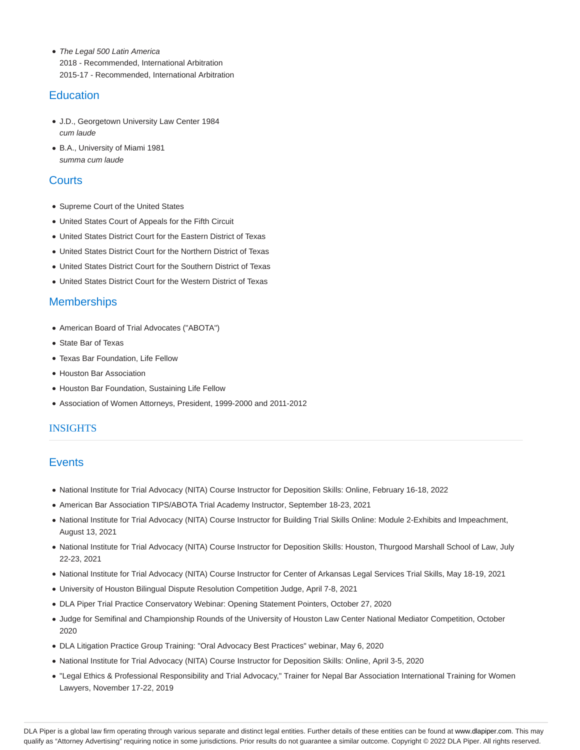• The Legal 500 Latin America 2018 - Recommended, International Arbitration 2015-17 - Recommended, International Arbitration

# **Education**

- J.D., Georgetown University Law Center 1984 cum laude
- B.A., University of Miami 1981 summa cum laude

# **Courts**

- Supreme Court of the United States
- United States Court of Appeals for the Fifth Circuit
- United States District Court for the Eastern District of Texas
- United States District Court for the Northern District of Texas
- United States District Court for the Southern District of Texas
- United States District Court for the Western District of Texas

# **Memberships**

- American Board of Trial Advocates ("ABOTA")
- State Bar of Texas
- Texas Bar Foundation, Life Fellow
- Houston Bar Association
- Houston Bar Foundation, Sustaining Life Fellow
- Association of Women Attorneys, President, 1999-2000 and 2011-2012

### **INSIGHTS**

# **Events**

- National Institute for Trial Advocacy (NITA) Course Instructor for Deposition Skills: Online, February 16-18, 2022
- American Bar Association TIPS/ABOTA Trial Academy Instructor, September 18-23, 2021
- National Institute for Trial Advocacy (NITA) Course Instructor for Building Trial Skills Online: Module 2-Exhibits and Impeachment, August 13, 2021
- National Institute for Trial Advocacy (NITA) Course Instructor for Deposition Skills: Houston, Thurgood Marshall School of Law, July 22-23, 2021
- National Institute for Trial Advocacy (NITA) Course Instructor for Center of Arkansas Legal Services Trial Skills, May 18-19, 2021
- University of Houston Bilingual Dispute Resolution Competition Judge, April 7-8, 2021
- DLA Piper Trial Practice Conservatory Webinar: Opening Statement Pointers, October 27, 2020
- Judge for Semifinal and Championship Rounds of the University of Houston Law Center National Mediator Competition, October 2020
- DLA Litigation Practice Group Training: "Oral Advocacy Best Practices" webinar, May 6, 2020
- National Institute for Trial Advocacy (NITA) Course Instructor for Deposition Skills: Online, April 3-5, 2020
- "Legal Ethics & Professional Responsibility and Trial Advocacy," Trainer for Nepal Bar Association International Training for Women Lawyers, November 17-22, 2019